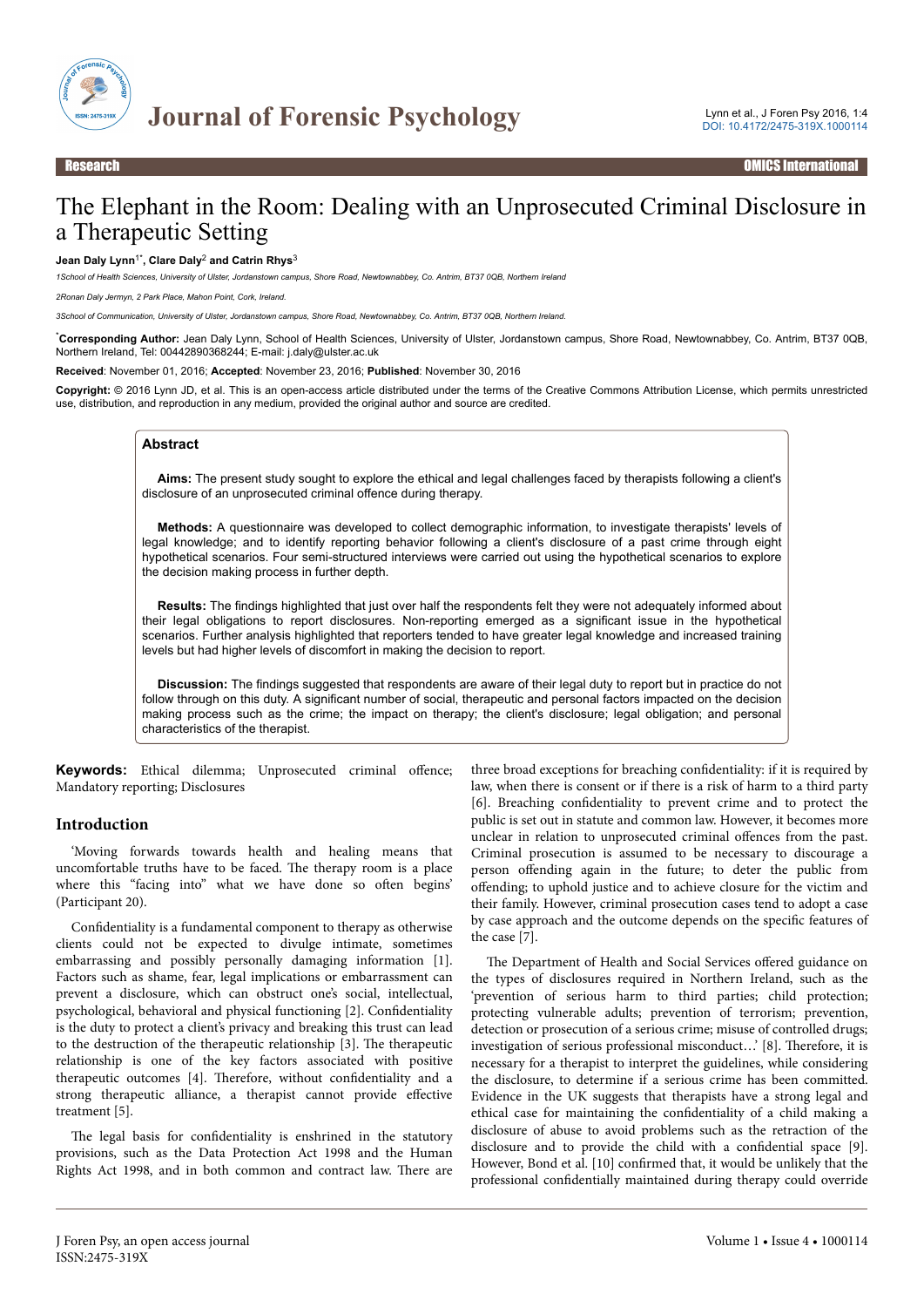

# The Elephant in the Room: Dealing with an Unprosecuted Criminal Disclosure in a Therapeutic Setting

#### **Jean Daly Lynn**1\***, Clare Daly**<sup>2</sup>  **and Catrin Rhys**<sup>3</sup>

*1School of Health Sciences, University of Ulster, Jordanstown campus, Shore Road, Newtownabbey, Co. Antrim, BT37 0QB, Northern Ireland*

*2Ronan Daly Jermyn, 2 Park Place, Mahon Point, Cork, Ireland.*

*3School of Communication, University of Ulster, Jordanstown campus, Shore Road, Newtownabbey, Co. Antrim, BT37 0QB, Northern Ireland.*

\***Corresponding Author:** Jean Daly Lynn, School of Health Sciences, University of Ulster, Jordanstown campus, Shore Road, Newtownabbey, Co. Antrim, BT37 0QB, Northern Ireland, Tel: 00442890368244; E-mail: j.daly@ulster.ac.uk

**Received**: November 01, 2016; **Accepted**: November 23, 2016; **Published**: November 30, 2016

**Copyright:** © 2016 Lynn JD, et al. This is an open-access article distributed under the terms of the Creative Commons Attribution License, which permits unrestricted use, distribution, and reproduction in any medium, provided the original author and source are credited.

#### **Abstract**

**Aims:** The present study sought to explore the ethical and legal challenges faced by therapists following a client's disclosure of an unprosecuted criminal offence during therapy.

**Methods:** A questionnaire was developed to collect demographic information, to investigate therapists' levels of legal knowledge; and to identify reporting behavior following a client's disclosure of a past crime through eight hypothetical scenarios. Four semi-structured interviews were carried out using the hypothetical scenarios to explore the decision making process in further depth.

**Results:** The findings highlighted that just over half the respondents felt they were not adequately informed about their legal obligations to report disclosures. Non-reporting emerged as a significant issue in the hypothetical scenarios. Further analysis highlighted that reporters tended to have greater legal knowledge and increased training levels but had higher levels of discomfort in making the decision to report.

**Discussion:** The findings suggested that respondents are aware of their legal duty to report but in practice do not follow through on this duty. A significant number of social, therapeutic and personal factors impacted on the decision making process such as the crime; the impact on therapy; the client's disclosure; legal obligation; and personal characteristics of the therapist.

Keywords: Ethical dilemma; Unprosecuted criminal offence; Mandatory reporting; Disclosures

#### **Introduction**

'Moving forwards towards health and healing means that uncomfortable truths have to be faced. Нe therapy room is a place where this "facing into" what we have done so often begins' (Participant 20).

Confidentiality is a fundamental component to therapy as otherwise clients could not be expected to divulge intimate, sometimes embarrassing and possibly personally damaging information [1]. Factors such as shame, fear, legal implications or embarrassment can prevent a disclosure, which can obstruct one's social, intellectual, psychological, behavioral and physical functioning [2]. Confidentiality is the duty to protect a client's privacy and breaking this trust can lead to the destruction of the therapeutic relationship [3]. Нe therapeutic relationship is one of the key factors associated with positive therapeutic outcomes  $[4]$ . Therefore, without confidentiality and a strong therapeutic alliance, a therapist cannot provide effective treatment [5].

The legal basis for confidentiality is enshrined in the statutory provisions, such as the Data Protection Act 1998 and the Human Rights Act 1998, and in both common and contract law. Нere are

three broad exceptions for breaching confidentiality: if it is required by law, when there is consent or if there is a risk of harm to a third party [6]. Breaching confidentiality to prevent crime and to protect the public is set out in statute and common law. However, it becomes more unclear in relation to unprosecuted criminal offences from the past. Criminal prosecution is assumed to be necessary to discourage a person offending again in the future; to deter the public from offending; to uphold justice and to achieve closure for the victim and their family. However, criminal prosecution cases tend to adopt a case by case approach and the outcome depends on the specific features of the case [7].

The Department of Health and Social Services offered guidance on the types of disclosures required in Northern Ireland, such as the 'prevention of serious harm to third parties; child protection; protecting vulnerable adults; prevention of terrorism; prevention, detection or prosecution of a serious crime; misuse of controlled drugs; investigation of serious professional misconduct…' [8]. Нerefore, it is necessary for a therapist to interpret the guidelines, while considering the disclosure, to determine if a serious crime has been committed. Evidence in the UK suggests that therapists have a strong legal and ethical case for maintaining the confidentiality of a child making a disclosure of abuse to avoid problems such as the retraction of the disclosure and to provide the child with a confidential space  $[9]$ . However, Bond et al. [10] confirmed that, it would be unlikely that the professional confidentially maintained during therapy could override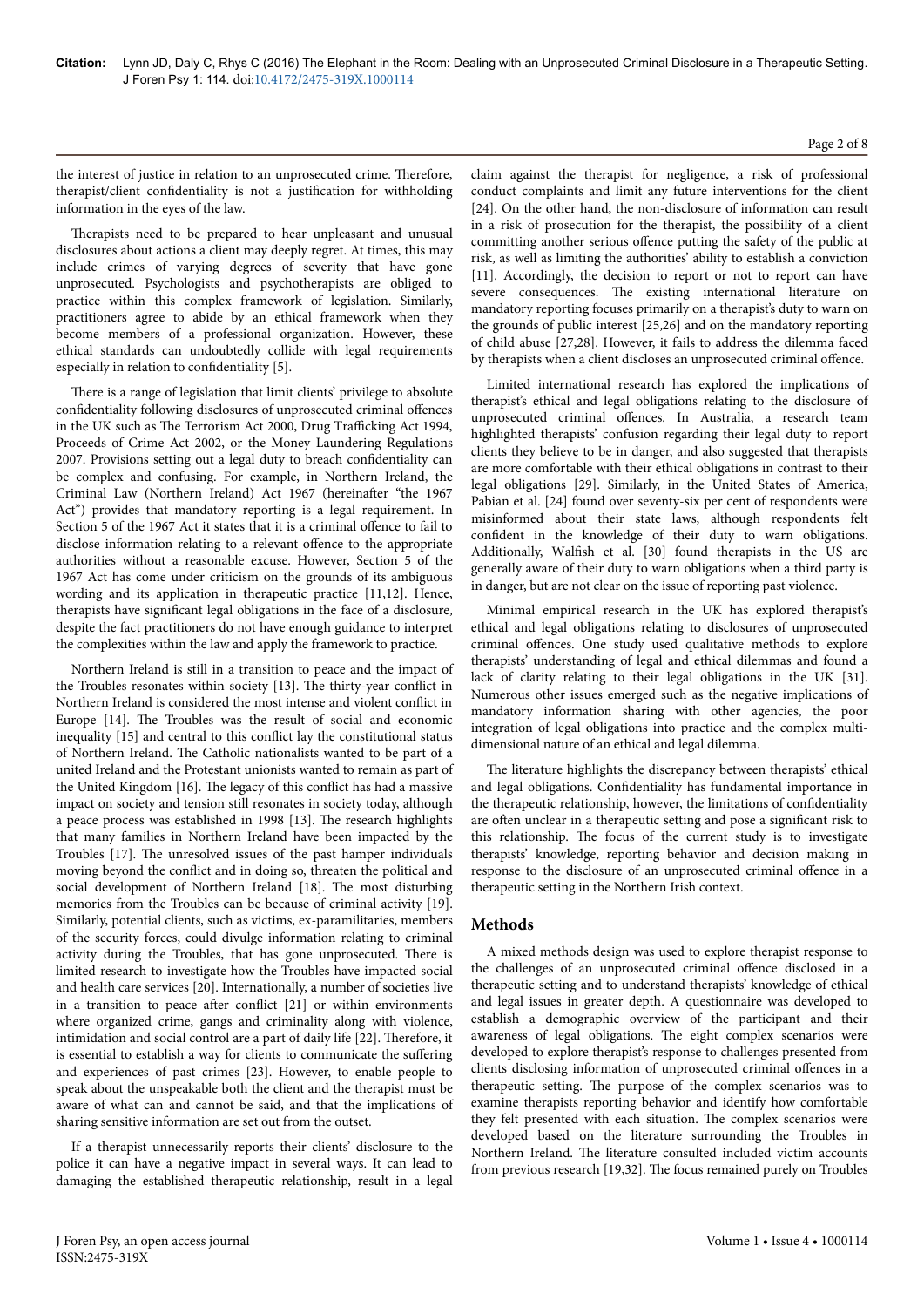the interest of justice in relation to an unprosecuted crime. Нerefore, therapist/client confidentiality is not a justification for withholding information in the eyes of the law.

Therapists need to be prepared to hear unpleasant and unusual disclosures about actions a client may deeply regret. At times, this may include crimes of varying degrees of severity that have gone unprosecuted. Psychologists and psychotherapists are obliged to practice within this complex framework of legislation. Similarly, practitioners agree to abide by an ethical framework when they become members of a professional organization. However, these ethical standards can undoubtedly collide with legal requirements especially in relation to confidentiality  $[5]$ .

There is a range of legislation that limit clients' privilege to absolute confidentiality following disclosures of unprosecuted criminal offences in the UK such as The Terrorism Act 2000, Drug Trafficking Act 1994, Proceeds of Crime Act 2002, or the Money Laundering Regulations 2007. Provisions setting out a legal duty to breach confidentiality can be complex and confusing. For example, in Northern Ireland, the Criminal Law (Northern Ireland) Act 1967 (hereinafter "the 1967 Act") provides that mandatory reporting is a legal requirement. In Section 5 of the 1967 Act it states that it is a criminal offence to fail to disclose information relating to a relevant offence to the appropriate authorities without a reasonable excuse. However, Section 5 of the 1967 Act has come under criticism on the grounds of its ambiguous wording and its application in therapeutic practice [11,12]. Hence, therapists have significant legal obligations in the face of a disclosure, despite the fact practitioners do not have enough guidance to interpret the complexities within the law and apply the framework to practice.

Northern Ireland is still in a transition to peace and the impact of the Troubles resonates within society [13]. Нe thirty-year conflict in Northern Ireland is considered the most intense and violent conflict in Europe [14]. Нe Troubles was the result of social and economic inequality [15] and central to this conflict lay the constitutional status of Northern Ireland. Нe Catholic nationalists wanted to be part of a united Ireland and the Protestant unionists wanted to remain as part of the United Kingdom [16]. Нe legacy of this conflict has had a massive impact on society and tension still resonates in society today, although a peace process was established in 1998 [13]. Нe research highlights that many families in Northern Ireland have been impacted by the Troubles [17]. Нe unresolved issues of the past hamper individuals moving beyond the conflict and in doing so, threaten the political and social development of Northern Ireland [18]. Нe most disturbing memories from the Troubles can be because of criminal activity [19]. Similarly, potential clients, such as victims, ex-paramilitaries, members of the security forces, could divulge information relating to criminal activity during the Troubles, that has gone unprosecuted. Нere is limited research to investigate how the Troubles have impacted social and health care services [20]. Internationally, a number of societies live in a transition to peace after conflict  $[21]$  or within environments where organized crime, gangs and criminality along with violence, intimidation and social control are a part of daily life [22]. Нerefore, it is essential to establish a way for clients to communicate the suffering and experiences of past crimes [23]. However, to enable people to speak about the unspeakable both the client and the therapist must be aware of what can and cannot be said, and that the implications of sharing sensitive information are set out from the outset.

If a therapist unnecessarily reports their clients' disclosure to the police it can have a negative impact in several ways. It can lead to damaging the established therapeutic relationship, result in a legal claim against the therapist for negligence, a risk of professional conduct complaints and limit any future interventions for the client [24]. On the other hand, the non-disclosure of information can result in a risk of prosecution for the therapist, the possibility of a client committing another serious offence putting the safety of the public at risk, as well as limiting the authorities' ability to establish a conviction [11]. Accordingly, the decision to report or not to report can have severe consequences. Нe existing international literature on mandatory reporting focuses primarily on a therapist's duty to warn on the grounds of public interest [25,26] and on the mandatory reporting of child abuse [27,28]. However, it fails to address the dilemma faced by therapists when a client discloses an unprosecuted criminal offence.

Limited international research has explored the implications of therapist's ethical and legal obligations relating to the disclosure of unprosecuted criminal offences. In Australia, a research team highlighted therapists' confusion regarding their legal duty to report clients they believe to be in danger, and also suggested that therapists are more comfortable with their ethical obligations in contrast to their legal obligations [29]. Similarly, in the United States of America, Pabian et al. [24] found over seventy-six per cent of respondents were misinformed about their state laws, although respondents felt confident in the knowledge of their duty to warn obligations. Additionally, Walfish et al. [30] found therapists in the US are generally aware of their duty to warn obligations when a third party is in danger, but are not clear on the issue of reporting past violence.

Minimal empirical research in the UK has explored therapist's ethical and legal obligations relating to disclosures of unprosecuted criminal offences. One study used qualitative methods to explore therapists' understanding of legal and ethical dilemmas and found a lack of clarity relating to their legal obligations in the UK [31]. Numerous other issues emerged such as the negative implications of mandatory information sharing with other agencies, the poor integration of legal obligations into practice and the complex multidimensional nature of an ethical and legal dilemma.

The literature highlights the discrepancy between therapists' ethical and legal obligations. Confidentiality has fundamental importance in the therapeutic relationship, however, the limitations of confidentiality are often unclear in a therapeutic setting and pose a significant risk to this relationship. Нe focus of the current study is to investigate therapists' knowledge, reporting behavior and decision making in response to the disclosure of an unprosecuted criminal offence in a therapeutic setting in the Northern Irish context.

## **Methods**

A mixed methods design was used to explore therapist response to the challenges of an unprosecuted criminal offence disclosed in a therapeutic setting and to understand therapists' knowledge of ethical and legal issues in greater depth. A questionnaire was developed to establish a demographic overview of the participant and their awareness of legal obligations. Нe eight complex scenarios were developed to explore therapist's response to challenges presented from clients disclosing information of unprosecuted criminal offences in a therapeutic setting. Нe purpose of the complex scenarios was to examine therapists reporting behavior and identify how comfortable they felt presented with each situation. Нe complex scenarios were developed based on the literature surrounding the Troubles in Northern Ireland. Нe literature consulted included victim accounts from previous research [19,32]. The focus remained purely on Troubles

#### Page 2 of 8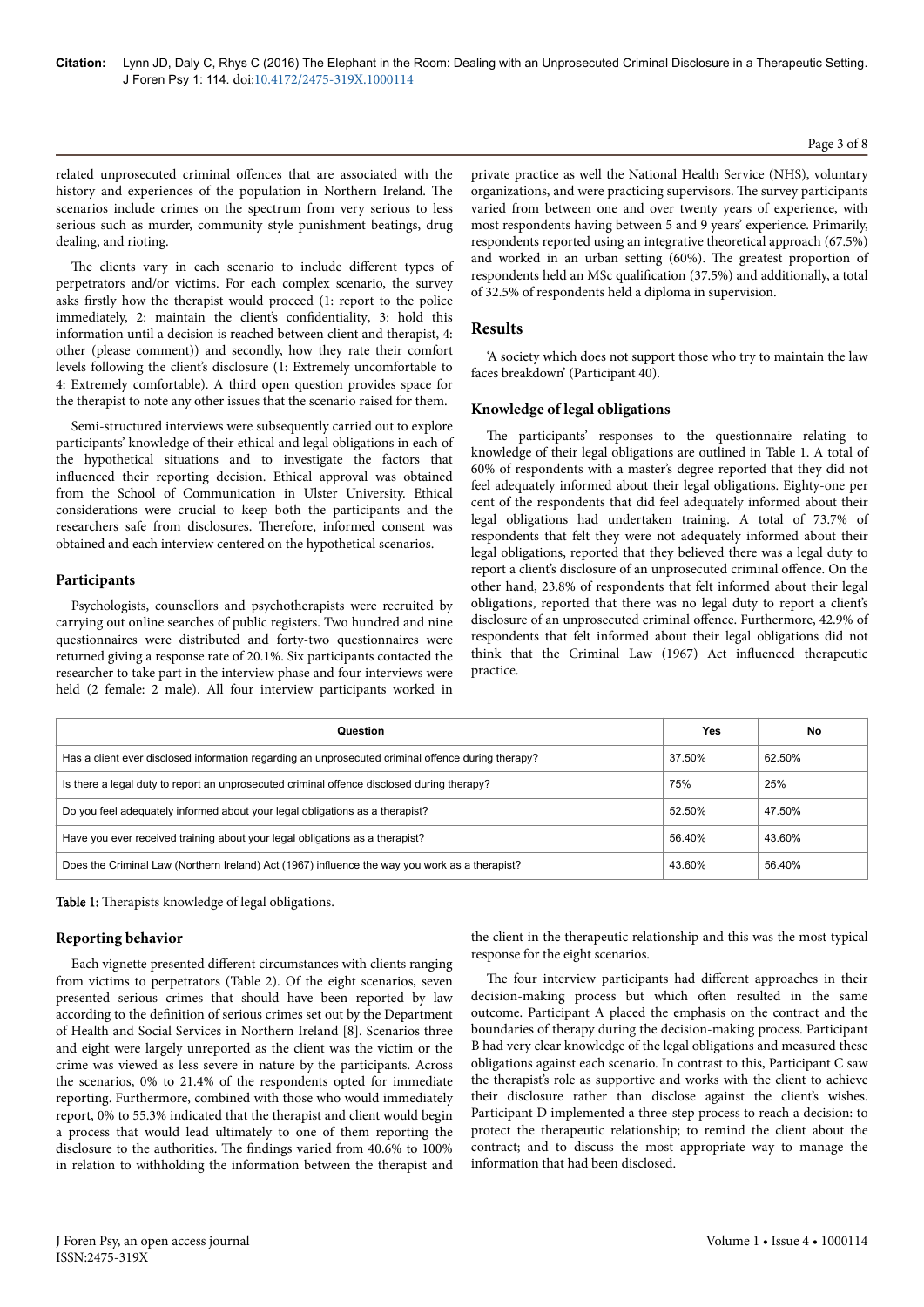#### Page 3 of 8

related unprosecuted criminal offences that are associated with the history and experiences of the population in Northern Ireland. The scenarios include crimes on the spectrum from very serious to less serious such as murder, community style punishment beatings, drug dealing, and rioting.

The clients vary in each scenario to include different types of perpetrators and/or victims. For each complex scenario, the survey asks firstly how the therapist would proceed (1: report to the police immediately, 2: maintain the client's confidentiality, 3: hold this information until a decision is reached between client and therapist, 4: other (please comment)) and secondly, how they rate their comfort levels following the client's disclosure (1: Extremely uncomfortable to 4: Extremely comfortable). A third open question provides space for the therapist to note any other issues that the scenario raised for them.

Semi-structured interviews were subsequently carried out to explore participants' knowledge of their ethical and legal obligations in each of the hypothetical situations and to investigate the factors that influenced their reporting decision. Ethical approval was obtained from the School of Communication in Ulster University. Ethical considerations were crucial to keep both the participants and the researchers safe from disclosures. Нerefore, informed consent was obtained and each interview centered on the hypothetical scenarios.

### **Participants**

Psychologists, counsellors and psychotherapists were recruited by carrying out online searches of public registers. Two hundred and nine questionnaires were distributed and forty-two questionnaires were returned giving a response rate of 20.1%. Six participants contacted the researcher to take part in the interview phase and four interviews were held (2 female: 2 male). All four interview participants worked in

private practice as well the National Health Service (NHS), voluntary organizations, and were practicing supervisors. Нe survey participants varied from between one and over twenty years of experience, with most respondents having between 5 and 9 years' experience. Primarily, respondents reported using an integrative theoretical approach (67.5%) and worked in an urban setting (60%). Нe greatest proportion of respondents held an MSc qualification (37.5%) and additionally, a total of 32.5% of respondents held a diploma in supervision.

## **Results**

'A society which does not support those who try to maintain the law faces breakdown' (Participant 40).

### **Knowledge of legal obligations**

The participants' responses to the questionnaire relating to knowledge of their legal obligations are outlined in Table 1. A total of 60% of respondents with a master's degree reported that they did not feel adequately informed about their legal obligations. Eighty-one per cent of the respondents that did feel adequately informed about their legal obligations had undertaken training. A total of 73.7% of respondents that felt they were not adequately informed about their legal obligations, reported that they believed there was a legal duty to report a client's disclosure of an unprosecuted criminal offence. On the other hand, 23.8% of respondents that felt informed about their legal obligations, reported that there was no legal duty to report a client's disclosure of an unprosecuted criminal offence. Furthermore, 42.9% of respondents that felt informed about their legal obligations did not think that the Criminal Law (1967) Act influenced therapeutic practice.

| Question                                                                                           | Yes    | No     |
|----------------------------------------------------------------------------------------------------|--------|--------|
| Has a client ever disclosed information regarding an unprosecuted criminal offence during therapy? | 37.50% | 62.50% |
| Is there a legal duty to report an unprosecuted criminal offence disclosed during therapy?         |        | 25%    |
| Do you feel adequately informed about your legal obligations as a therapist?                       |        | 47.50% |
| Have you ever received training about your legal obligations as a therapist?                       |        | 43.60% |
| Does the Criminal Law (Northern Ireland) Act (1967) influence the way you work as a therapist?     | 43.60% | 56.40% |

Table 1: Therapists knowledge of legal obligations.

#### **Reporting behavior**

Each vignette presented different circumstances with clients ranging from victims to perpetrators (Table 2). Of the eight scenarios, seven presented serious crimes that should have been reported by law according to the definition of serious crimes set out by the Department of Health and Social Services in Northern Ireland [8]. Scenarios three and eight were largely unreported as the client was the victim or the crime was viewed as less severe in nature by the participants. Across the scenarios, 0% to 21.4% of the respondents opted for immediate reporting. Furthermore, combined with those who would immediately report, 0% to 55.3% indicated that the therapist and client would begin a process that would lead ultimately to one of them reporting the disclosure to the authorities. Нe findings varied from 40.6% to 100% in relation to withholding the information between the therapist and

the client in the therapeutic relationship and this was the most typical response for the eight scenarios.

The four interview participants had different approaches in their decision-making process but which often resulted in the same outcome. Participant A placed the emphasis on the contract and the boundaries of therapy during the decision-making process. Participant B had very clear knowledge of the legal obligations and measured these obligations against each scenario. In contrast to this, Participant C saw the therapist's role as supportive and works with the client to achieve their disclosure rather than disclose against the client's wishes. Participant D implemented a three-step process to reach a decision: to protect the therapeutic relationship; to remind the client about the contract; and to discuss the most appropriate way to manage the information that had been disclosed.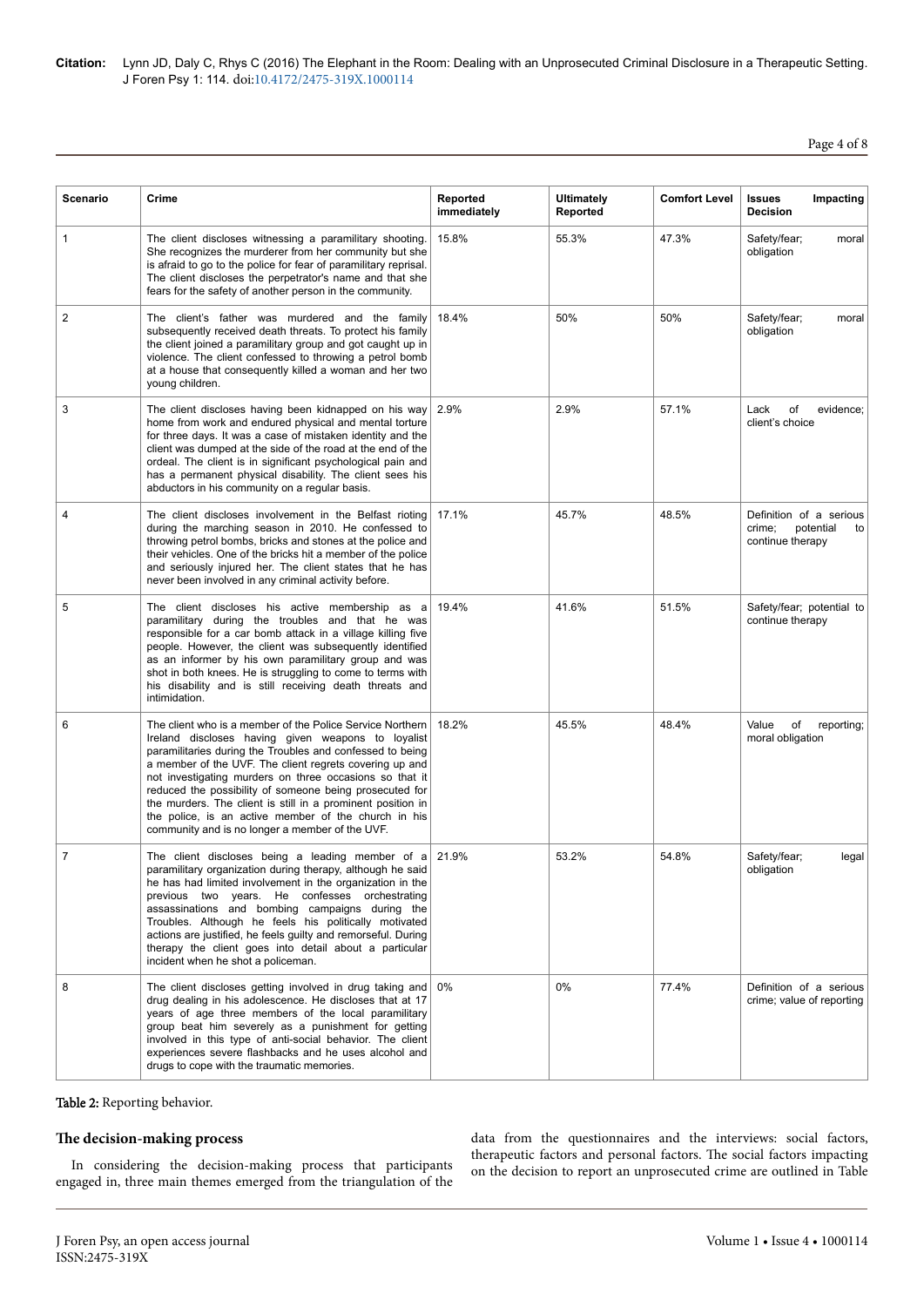Page 4 of 8

| <b>Scenario</b> | Crime                                                                                                                                                                                                                                                                                                                                                                                                                                                                                                                                   | Reported<br>immediately | <b>Ultimately</b><br>Reported | <b>Comfort Level</b> | <b>Issues</b><br>Impacting<br><b>Decision</b>                            |
|-----------------|-----------------------------------------------------------------------------------------------------------------------------------------------------------------------------------------------------------------------------------------------------------------------------------------------------------------------------------------------------------------------------------------------------------------------------------------------------------------------------------------------------------------------------------------|-------------------------|-------------------------------|----------------------|--------------------------------------------------------------------------|
| 1               | The client discloses witnessing a paramilitary shooting.<br>She recognizes the murderer from her community but she<br>is afraid to go to the police for fear of paramilitary reprisal.<br>The client discloses the perpetrator's name and that she<br>fears for the safety of another person in the community.                                                                                                                                                                                                                          | 15.8%                   | 55.3%                         | 47.3%                | Safety/fear;<br>moral<br>obligation                                      |
| 2               | The client's father was murdered and the family<br>subsequently received death threats. To protect his family<br>the client joined a paramilitary group and got caught up in<br>violence. The client confessed to throwing a petrol bomb<br>at a house that consequently killed a woman and her two<br>young children.                                                                                                                                                                                                                  | 18.4%                   | 50%                           | 50%                  | Safety/fear;<br>moral<br>obligation                                      |
| 3               | The client discloses having been kidnapped on his way<br>home from work and endured physical and mental torture<br>for three days. It was a case of mistaken identity and the<br>client was dumped at the side of the road at the end of the<br>ordeal. The client is in significant psychological pain and<br>has a permanent physical disability. The client sees his<br>abductors in his community on a regular basis.                                                                                                               | 2.9%                    | 2.9%                          | 57.1%                | Lack<br>of<br>evidence;<br>client's choice                               |
| 4               | The client discloses involvement in the Belfast rioting<br>during the marching season in 2010. He confessed to<br>throwing petrol bombs, bricks and stones at the police and<br>their vehicles. One of the bricks hit a member of the police<br>and seriously injured her. The client states that he has<br>never been involved in any criminal activity before.                                                                                                                                                                        | 17.1%                   | 45.7%                         | 48.5%                | Definition of a serious<br>crime;<br>potential<br>to<br>continue therapy |
| 5               | The client discloses his active membership as a<br>paramilitary during the troubles and that he was<br>responsible for a car bomb attack in a village killing five<br>people. However, the client was subsequently identified<br>as an informer by his own paramilitary group and was<br>shot in both knees. He is struggling to come to terms with<br>his disability and is still receiving death threats and<br>intimidation.                                                                                                         | 19.4%                   | 41.6%                         | 51.5%                | Safety/fear; potential to<br>continue therapy                            |
| 6               | The client who is a member of the Police Service Northern<br>Ireland discloses having given weapons to loyalist<br>paramilitaries during the Troubles and confessed to being<br>a member of the UVF. The client regrets covering up and<br>not investigating murders on three occasions so that it<br>reduced the possibility of someone being prosecuted for<br>the murders. The client is still in a prominent position in<br>the police, is an active member of the church in his<br>community and is no longer a member of the UVF. | 18.2%                   | 45.5%                         | 48.4%                | Value<br>of<br>reporting;<br>moral obligation                            |
| $\overline{7}$  | The client discloses being a leading member of a<br>paramilitary organization during therapy, although he said<br>he has had limited involvement in the organization in the<br>previous two years. He confesses orchestrating<br>assassinations and bombing campaigns during the<br>Troubles. Although he feels his politically motivated<br>actions are justified, he feels quilty and remorseful. During<br>therapy the client goes into detail about a particular<br>incident when he shot a policeman.                              | 21.9%                   | 53.2%                         | 54.8%                | Safety/fear;<br>legal<br>obligation                                      |
| 8               | The client discloses getting involved in drug taking and 0%<br>drug dealing in his adolescence. He discloses that at 17<br>years of age three members of the local paramilitary<br>group beat him severely as a punishment for getting<br>involved in this type of anti-social behavior. The client<br>experiences severe flashbacks and he uses alcohol and<br>drugs to cope with the traumatic memories.                                                                                                                              |                         | 0%                            | 77.4%                | Definition of a serious<br>crime; value of reporting                     |

Table 2: Reporting behavior.

### **The decision-making process**

In considering the decision-making process that participants engaged in, three main themes emerged from the triangulation of the

data from the questionnaires and the interviews: social factors, therapeutic factors and personal factors. Нe social factors impacting on the decision to report an unprosecuted crime are outlined in Table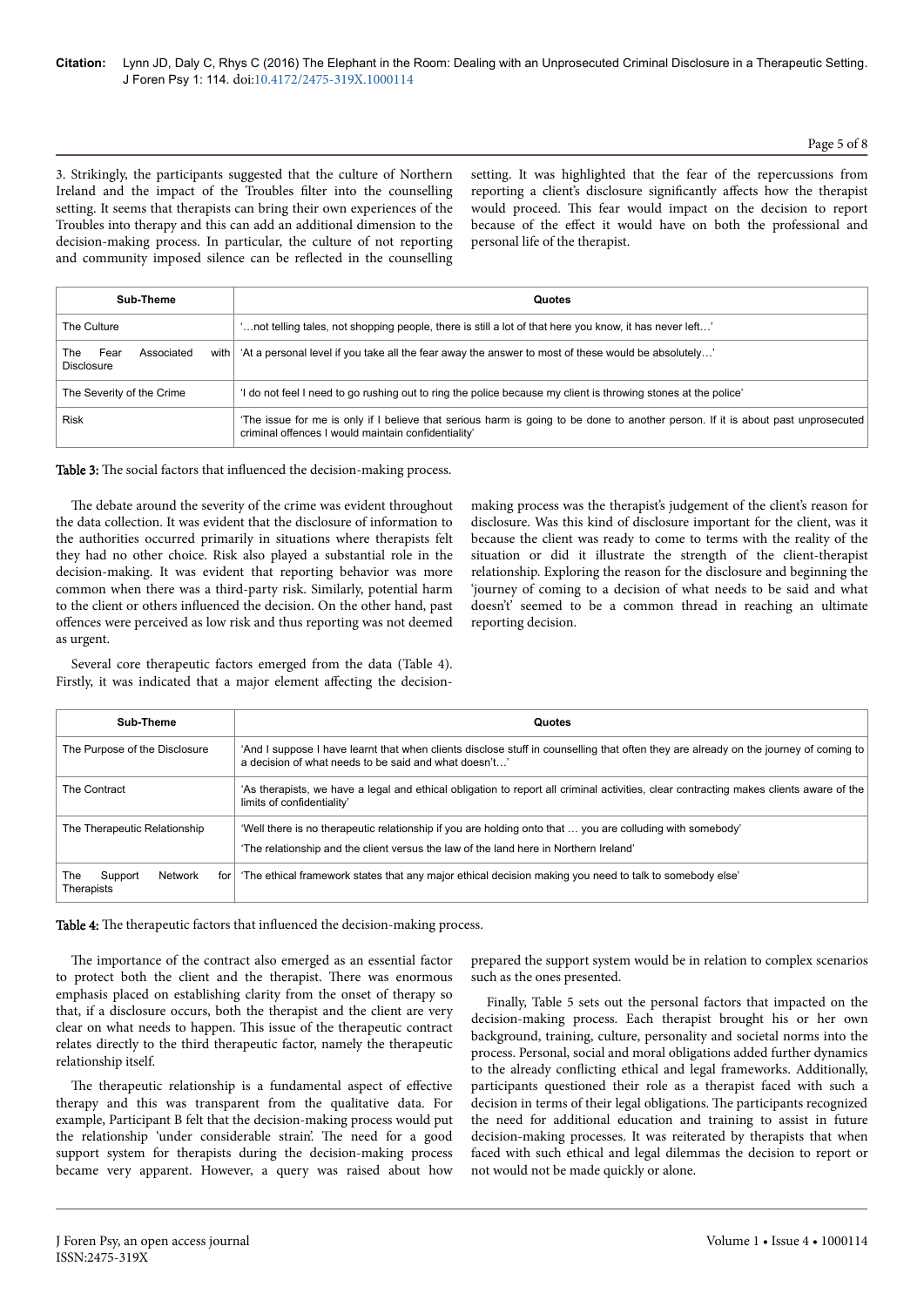## Page 5 of 8

3. Strikingly, the participants suggested that the culture of Northern Ireland and the impact of the Troubles filter into the counselling setting. It seems that therapists can bring their own experiences of the Troubles into therapy and this can add an additional dimension to the decision-making process. In particular, the culture of not reporting and community imposed silence can be reflected in the counselling

setting. It was highlighted that the fear of the repercussions from reporting a client's disclosure significantly affects how the therapist would proceed. Нis fear would impact on the decision to report because of the effect it would have on both the professional and personal life of the therapist.

| Sub-Theme                                      | Quotes                                                                                                                                                                                  |
|------------------------------------------------|-----------------------------------------------------------------------------------------------------------------------------------------------------------------------------------------|
| The Culture                                    | 'not telling tales, not shopping people, there is still a lot of that here you know, it has never left'                                                                                 |
| Associated<br>The<br>Fear<br><b>Disclosure</b> | with   'At a personal level if you take all the fear away the answer to most of these would be absolutely'                                                                              |
| The Severity of the Crime                      | 'I do not feel I need to go rushing out to ring the police because my client is throwing stones at the police'                                                                          |
| <b>Risk</b>                                    | 'The issue for me is only if I believe that serious harm is going to be done to another person. If it is about past unprosecuted<br>criminal offences I would maintain confidentiality' |

Table 3: The social factors that influenced the decision-making process.

The debate around the severity of the crime was evident throughout the data collection. It was evident that the disclosure of information to the authorities occurred primarily in situations where therapists felt they had no other choice. Risk also played a substantial role in the decision-making. It was evident that reporting behavior was more common when there was a third-party risk. Similarly, potential harm to the client or others influenced the decision. On the other hand, past offences were perceived as low risk and thus reporting was not deemed as urgent.

Several core therapeutic factors emerged from the data (Table 4). Firstly, it was indicated that a major element affecting the decisionmaking process was the therapist's judgement of the client's reason for disclosure. Was this kind of disclosure important for the client, was it because the client was ready to come to terms with the reality of the situation or did it illustrate the strength of the client-therapist relationship. Exploring the reason for the disclosure and beginning the 'journey of coming to a decision of what needs to be said and what doesn't' seemed to be a common thread in reaching an ultimate reporting decision.

| Sub-Theme                                      | Quotes                                                                                                                                                                                             |  |
|------------------------------------------------|----------------------------------------------------------------------------------------------------------------------------------------------------------------------------------------------------|--|
| The Purpose of the Disclosure                  | And I suppose I have learnt that when clients disclose stuff in counselling that often they are already on the journey of coming to<br>a decision of what needs to be said and what doesn't'       |  |
| The Contract                                   | As therapists, we have a legal and ethical obligation to report all criminal activities, clear contracting makes clients aware of the<br>limits of confidentiality'                                |  |
| The Therapeutic Relationship                   | 'Well there is no therapeutic relationship if you are holding onto that  you are colluding with somebody'<br>'The relationship and the client versus the law of the land here in Northern Ireland' |  |
| The<br>Network<br>Support<br>for<br>Therapists | "The ethical framework states that any major ethical decision making you need to talk to somebody else"                                                                                            |  |

Table 4: The therapeutic factors that influenced the decision-making process.

The importance of the contract also emerged as an essential factor to protect both the client and the therapist. Нere was enormous emphasis placed on establishing clarity from the onset of therapy so that, if a disclosure occurs, both the therapist and the client are very clear on what needs to happen. Нis issue of the therapeutic contract relates directly to the third therapeutic factor, namely the therapeutic relationship itself.

The therapeutic relationship is a fundamental aspect of effective therapy and this was transparent from the qualitative data. For example, Participant B felt that the decision-making process would put the relationship 'under considerable strain'. Нe need for a good support system for therapists during the decision-making process became very apparent. However, a query was raised about how

prepared the support system would be in relation to complex scenarios such as the ones presented.

Finally, Table 5 sets out the personal factors that impacted on the decision-making process. Each therapist brought his or her own background, training, culture, personality and societal norms into the process. Personal, social and moral obligations added further dynamics to the already conflicting ethical and legal frameworks. Additionally, participants questioned their role as a therapist faced with such a decision in terms of their legal obligations. Нe participants recognized the need for additional education and training to assist in future decision-making processes. It was reiterated by therapists that when faced with such ethical and legal dilemmas the decision to report or not would not be made quickly or alone.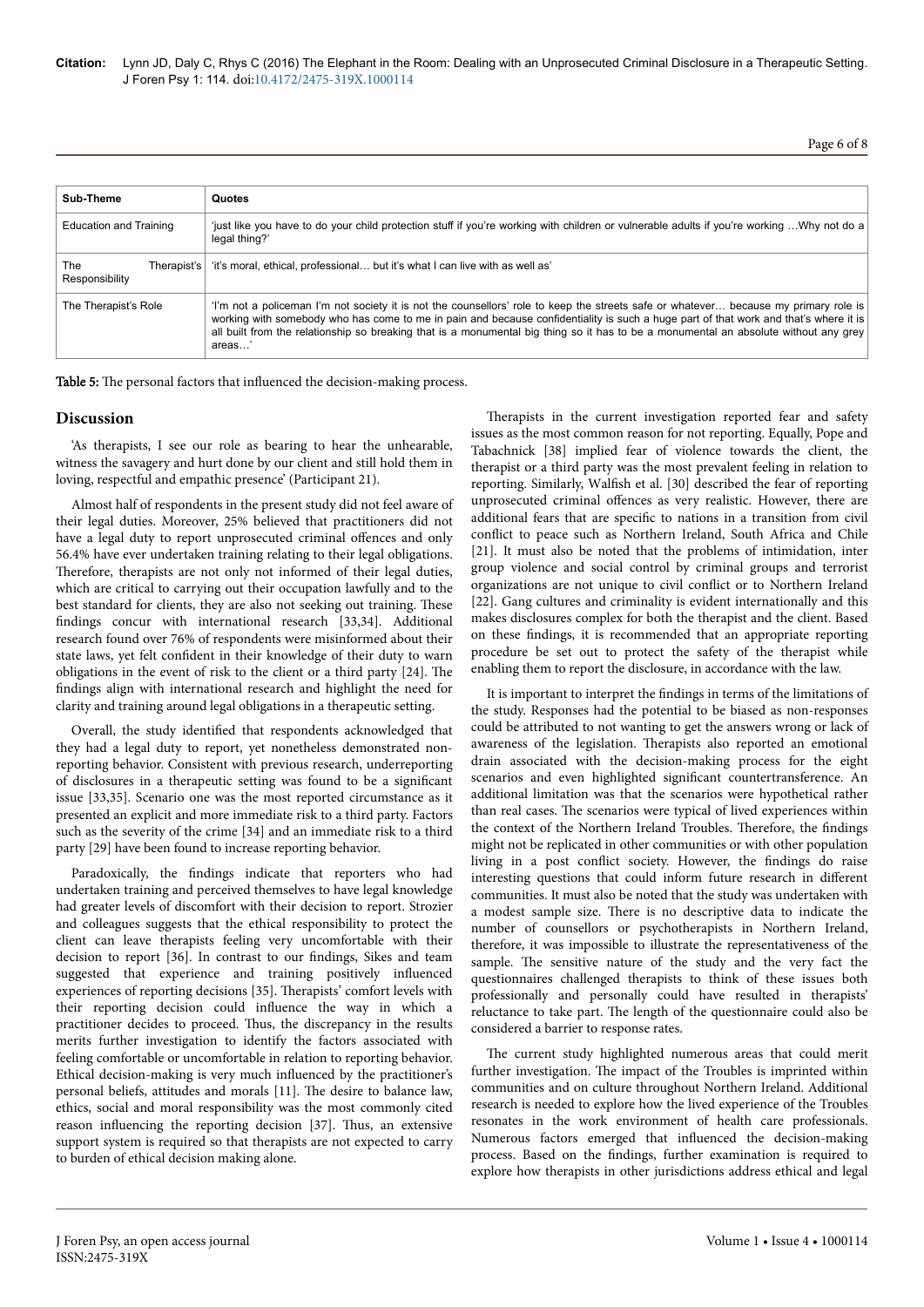**Citation:** Lynn JD, Daly C, Rhys C (2016) The Elephant in the Room: Dealing with an Unprosecuted Criminal Disclosure in a Therapeutic Setting. J Foren Psy 1: 114. doi:10.4172/2475-319X.1000114

| Sub-Theme                              | Quotes                                                                                                                                                                                                                                                                                                                                                                                                                        |
|----------------------------------------|-------------------------------------------------------------------------------------------------------------------------------------------------------------------------------------------------------------------------------------------------------------------------------------------------------------------------------------------------------------------------------------------------------------------------------|
| Education and Training                 | 'just like you have to do your child protection stuff if you're working with children or vulnerable adults if you're working Why not do a<br>legal thing?'                                                                                                                                                                                                                                                                    |
| The<br>Therapist's I<br>Responsibility | 'it's moral, ethical, professional but it's what I can live with as well as'                                                                                                                                                                                                                                                                                                                                                  |
| The Therapist's Role                   | 'I'm not a policeman I'm not society it is not the counsellors' role to keep the streets safe or whatever because my primary role is<br>working with somebody who has come to me in pain and because confidentiality is such a huge part of that work and that's where it is<br>all built from the relationship so breaking that is a monumental big thing so it has to be a monumental an absolute without any grey<br>areas |

Table 5: The personal factors that influenced the decision-making process.

## **Discussion**

'As therapists, I see our role as bearing to hear the unhearable, witness the savagery and hurt done by our client and still hold them in loving, respectful and empathic presence' (Participant 21).

Almost half of respondents in the present study did not feel aware of their legal duties. Moreover, 25% believed that practitioners did not have a legal duty to report unprosecuted criminal offences and only 56.4% have ever undertaken training relating to their legal obligations. Therefore, therapists are not only not informed of their legal duties, which are critical to carrying out their occupation lawfully and to the best standard for clients, they are also not seeking out training. Нese findings concur with international research [33,34]. Additional research found over 76% of respondents were misinformed about their state laws, yet felt confident in their knowledge of their duty to warn obligations in the event of risk to the client or a third party [24]. Нe findings align with international research and highlight the need for clarity and training around legal obligations in a therapeutic setting.

Overall, the study identified that respondents acknowledged that they had a legal duty to report, yet nonetheless demonstrated nonreporting behavior. Consistent with previous research, underreporting of disclosures in a therapeutic setting was found to be a significant issue [33,35]. Scenario one was the most reported circumstance as it presented an explicit and more immediate risk to a third party. Factors such as the severity of the crime [34] and an immediate risk to a third party [29] have been found to increase reporting behavior.

Paradoxically, the findings indicate that reporters who had undertaken training and perceived themselves to have legal knowledge had greater levels of discomfort with their decision to report. Strozier and colleagues suggests that the ethical responsibility to protect the client can leave therapists feeling very uncomfortable with their decision to report [36]. In contrast to our findings, Sikes and team suggested that experience and training positively influenced experiences of reporting decisions [35]. Therapists' comfort levels with their reporting decision could influence the way in which a practitioner decides to proceed. Нus, the discrepancy in the results merits further investigation to identify the factors associated with feeling comfortable or uncomfortable in relation to reporting behavior. Ethical decision-making is very much influenced by the practitioner's personal beliefs, attitudes and morals [11]. Нe desire to balance law, ethics, social and moral responsibility was the most commonly cited reason influencing the reporting decision [37]. Нus, an extensive support system is required so that therapists are not expected to carry to burden of ethical decision making alone.

Therapists in the current investigation reported fear and safety issues as the most common reason for not reporting. Equally, Pope and Tabachnick [38] implied fear of violence towards the client, the therapist or a third party was the most prevalent feeling in relation to reporting. Similarly, Walfish et al. [30] described the fear of reporting unprosecuted criminal offences as very realistic. However, there are additional fears that are specific to nations in a transition from civil conflict to peace such as Northern Ireland, South Africa and Chile [21]. It must also be noted that the problems of intimidation, inter group violence and social control by criminal groups and terrorist organizations are not unique to civil conflict or to Northern Ireland [22]. Gang cultures and criminality is evident internationally and this makes disclosures complex for both the therapist and the client. Based on these findings, it is recommended that an appropriate reporting procedure be set out to protect the safety of the therapist while enabling them to report the disclosure, in accordance with the law.

It is important to interpret the findings in terms of the limitations of the study. Responses had the potential to be biased as non-responses could be attributed to not wanting to get the answers wrong or lack of awareness of the legislation. Therapists also reported an emotional drain associated with the decision-making process for the eight scenarios and even highlighted significant countertransference. An additional limitation was that the scenarios were hypothetical rather than real cases. Нe scenarios were typical of lived experiences within the context of the Northern Ireland Troubles. Нerefore, the findings might not be replicated in other communities or with other population living in a post conflict society. However, the findings do raise interesting questions that could inform future research in different communities. It must also be noted that the study was undertaken with a modest sample size. Нere is no descriptive data to indicate the number of counsellors or psychotherapists in Northern Ireland, therefore, it was impossible to illustrate the representativeness of the sample. Нe sensitive nature of the study and the very fact the questionnaires challenged therapists to think of these issues both professionally and personally could have resulted in therapists' reluctance to take part. Нe length of the questionnaire could also be considered a barrier to response rates.

The current study highlighted numerous areas that could merit further investigation. Нe impact of the Troubles is imprinted within communities and on culture throughout Northern Ireland. Additional research is needed to explore how the lived experience of the Troubles resonates in the work environment of health care professionals. Numerous factors emerged that influenced the decision-making process. Based on the findings, further examination is required to explore how therapists in other jurisdictions address ethical and legal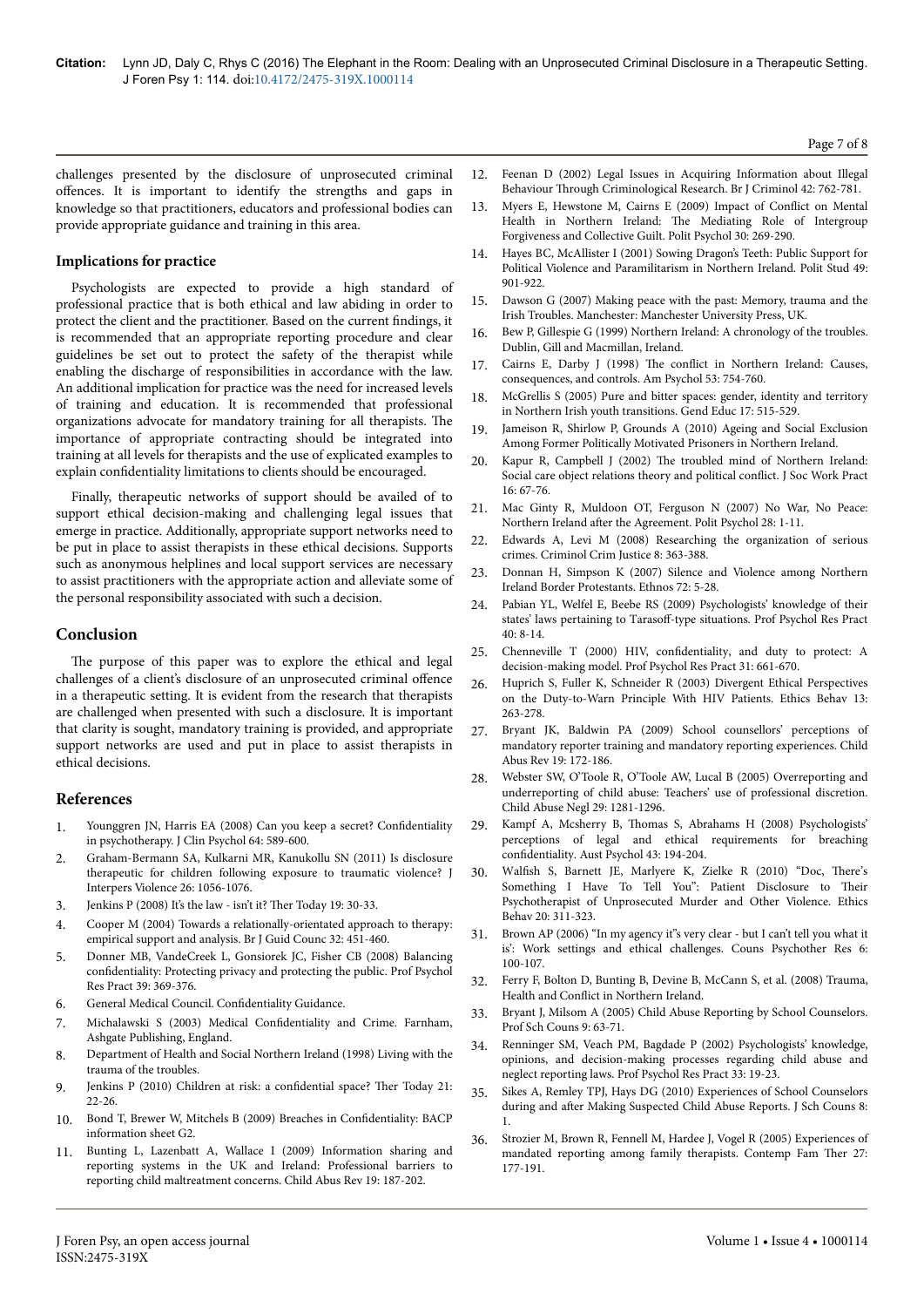challenges presented by the disclosure of unprosecuted criminal offences. It is important to identify the strengths and gaps in knowledge so that practitioners, educators and professional bodies can provide appropriate guidance and training in this area.

#### **Implications for practice**

Psychologists are expected to provide a high standard of professional practice that is both ethical and law abiding in order to protect the client and the practitioner. Based on the current findings, it is recommended that an appropriate reporting procedure and clear guidelines be set out to protect the safety of the therapist while enabling the discharge of responsibilities in accordance with the law. An additional implication for practice was the need for increased levels of training and education. It is recommended that professional organizations advocate for mandatory training for all therapists. Нe importance of appropriate contracting should be integrated into training at all levels for therapists and the use of explicated examples to explain confidentiality limitations to clients should be encouraged.

Finally, therapeutic networks of support should be availed of to support ethical decision-making and challenging legal issues that emerge in practice. Additionally, appropriate support networks need to be put in place to assist therapists in these ethical decisions. Supports such as anonymous helplines and local support services are necessary to assist practitioners with the appropriate action and alleviate some of the personal responsibility associated with such a decision.

### **Conclusion**

The purpose of this paper was to explore the ethical and legal challenges of a client's disclosure of an unprosecuted criminal offence in a therapeutic setting. It is evident from the research that therapists are challenged when presented with such a disclosure. It is important that clarity is sought, mandatory training is provided, and appropriate support networks are used and put in place to assist therapists in ethical decisions.

#### **References**

- 1. [Younggren JN, Harris EA \(2008\) Can you keep a secret?](http://dx.doi.org/10.1002/jclp.20480) Confidentiality [in psychotherapy. J Clin Psychol 64: 589-600.](http://dx.doi.org/10.1002/jclp.20480)
- 2. [Graham-Bermann SA, Kulkarni MR, Kanukollu SN \(2011\) Is disclosure](https://dx.doi.org/10.1177/0886260510365855) [therapeutic for children following exposure to traumatic violence? J](https://dx.doi.org/10.1177/0886260510365855) [Interpers Violence 26: 1056-1076.](https://dx.doi.org/10.1177/0886260510365855)
- 3. Jenkins P (2008) It's the law isn't it? Нer Today 19: 30-33.
- 4. [Cooper M \(2004\) Towards a relationally-orientated approach to therapy:](http://dx.doi.org/10.1080/03069880412331303268) [empirical support and analysis. Br J Guid Counc 32: 451-460.](http://dx.doi.org/10.1080/03069880412331303268)
- 5. [Donner MB, VandeCreek L, Gonsiorek JC, Fisher CB \(2008\) Balancing](http://dx.doi.org/10.1037/0735-7028.39.3.369) confidentiality: [Protecting privacy and protecting the public. Prof Psychol](http://dx.doi.org/10.1037/0735-7028.39.3.369) [Res Pract 39: 369-376.](http://dx.doi.org/10.1037/0735-7028.39.3.369)
- 6. [General Medical Council.](http://www.gmc-uk.org/guidance/ethical_guidance/confidentiality.asp) Confidentiality Guidance.
- 7. Michalawski S (2003) Medical Confidentiality and Crime. Farnham, Ashgate Publishing, England.
- 8. Department of Health and Social Northern Ireland (1998) Living with the trauma of the troubles.
- 9. Jenkins P (2010) Children at risk: a confidential space? Ther Today 21: 22-26.
- 10. [Bond T, Brewer W, Mitchels B \(2009\) Breaches in](http://vps11.sovdns.com/~ukservic/wpcontent/uploads/breaches_in_confidentiality.pdf) Confidentiality: BACP [information sheet G2.](http://vps11.sovdns.com/~ukservic/wpcontent/uploads/breaches_in_confidentiality.pdf)
- 11. [Bunting L, Lazenbatt A, Wallace I \(2009\) Information sharing and](http://dx.doi.org/10.1002/car.1076) [reporting systems in the UK and Ireland: Professional barriers to](http://dx.doi.org/10.1002/car.1076) [reporting child maltreatment concerns. Child Abus Rev 19: 187-202.](http://dx.doi.org/10.1002/car.1076)
- 12. [Feenan D \(2002\) Legal Issues in Acquiring Information about Illegal](http://dx.doi.org/10.1093/bjc/42.4.762) Behaviour Нrough [Criminological Research. Br J Criminol 42: 762-781.](http://dx.doi.org/10.1093/bjc/42.4.762)
- 13. [Myers E, Hewstone M, Cairns E \(2009\) Impact of](http://dx.doi.org/10.1111/j.1467-9221.2008.00691.x) Conflict on Mental Health in Northern Ireland: Нe [Mediating Role of Intergroup](http://dx.doi.org/10.1111/j.1467-9221.2008.00691.x) [Forgiveness and Collective Guilt. Polit Psychol 30: 269-290.](http://dx.doi.org/10.1111/j.1467-9221.2008.00691.x)
- 14. [Hayes BC, McAllister I \(2001\) Sowing Dragon's Teeth: Public Support for](http://dx.doi.org/10.1111/1467-9248.00346) [Political Violence and Paramilitarism in Northern Ireland. Polit Stud 49:](http://dx.doi.org/10.1111/1467-9248.00346) [901-922.](http://dx.doi.org/10.1111/1467-9248.00346)
- 15. Dawson G (2007) Making peace with the past: Memory, trauma and the Irish Troubles. Manchester: Manchester University Press, UK.
- 16. Bew P, Gillespie G (1999) Northern Ireland: A chronology of the troubles. Dublin, Gill and Macmillan, Ireland.
- 17. Cairns E, Darby J (1998) Нe conflict [in Northern Ireland: Causes,](http://dx.doi.org/10.1037/0003-066X.53.7.754) [consequences, and controls. Am Psychol 53: 754-760.](http://dx.doi.org/10.1037/0003-066X.53.7.754)
- 18. [McGrellis S \(2005\) Pure and bitter spaces: gender, identity and territory](http://dx.doi.org/10.1080/09540250500192702) [in Northern Irish youth transitions. Gend Educ 17: 515-529.](http://dx.doi.org/10.1080/09540250500192702)
- 19. [Jameison R, Shirlow P, Grounds A \(2010\) Ageing and Social Exclusion](https://cmst4.qub.ac.uk/sites/TheChangingAgeingPartnership/FileStore/QUBSeminarPrograms/SeedGrantReports/Filetoupload,211667,en.pdf) [Among Former Politically Motivated Prisoners in Northern Ireland.](https://cmst4.qub.ac.uk/sites/TheChangingAgeingPartnership/FileStore/QUBSeminarPrograms/SeedGrantReports/Filetoupload,211667,en.pdf)
- 20. Kapur R, Campbell J (2002) Нe [troubled mind of Northern Ireland:](http://dx.doi.org/10.1080/02650530220134773) [Social care object relations theory and political](http://dx.doi.org/10.1080/02650530220134773) conflict. J Soc Work Pract [16: 67-76.](http://dx.doi.org/10.1080/02650530220134773)
- 21. [Mac Ginty R, Muldoon OT, Ferguson N \(2007\) No War, No Peace:](http://dx.doi.org/10.1111/j.1467-9221.2007.00548.x) Northern Ireland after [the Agreement. Polit Psychol 28: 1-11.](http://dx.doi.org/10.1111/j.1467-9221.2007.00548.x)
- 22. [Edwards A, Levi M \(2008\) Researching the organization of serious](http://dx.doi.org/10.1177/1748895808097403) [crimes. Criminol Crim Justice 8: 363-388.](http://dx.doi.org/10.1177/1748895808097403)
- 23. [Donnan H, Simpson K \(2007\) Silence and Violence among Northern](http://dx.doi.org/10.1080/00141840701219494) [Ireland Border Protestants. Ethnos 72: 5-28.](http://dx.doi.org/10.1080/00141840701219494)
- 24. [Pabian YL, Welfel E, Beebe RS \(2009\) Psychologists' knowledge of their](http://dx.doi.org/10.1037/a0014784) states' laws pertaining to Tarasoff-type [situations. Prof Psychol Res Pract](http://dx.doi.org/10.1037/a0014784)  $40: 8-14.$  $40: 8-14.$
- 25. [Chenneville T \(2000\) HIV,](http://dx.doi.org/10.1037/0735-7028.31.6.661) confidentiality, and duty to protect: A [decision-making model. Prof Psychol Res Pract 31: 661-670.](http://dx.doi.org/10.1037/0735-7028.31.6.661)
- 26. [Huprich S, Fuller K, Schneider R \(2003\) Divergent Ethical Perspectives](http://dx.doi.org/10.1207/S15327019EB1303_05) [on the Duty-to-Warn Principle With HIV Patients. Ethics Behav 13:](http://dx.doi.org/10.1207/S15327019EB1303_05) [263-278.](http://dx.doi.org/10.1207/S15327019EB1303_05)
- 27. [Bryant JK, Baldwin PA \(2009\) School counsellors' perceptions of](http://dx.doi.org/10.1002/car.1099) [mandatory reporter training and mandatory reporting experiences. Child](http://dx.doi.org/10.1002/car.1099) [Abus Rev 19: 172-186.](http://dx.doi.org/10.1002/car.1099)
- 28. [Webster SW, O'Toole R, O'Toole AW, Lucal B \(2005\) Overreporting and](https://dx.doi.org/10.1016/j.chiabu.2004.02.007) [underreporting of child abuse: Teachers' use of professional discretion.](https://dx.doi.org/10.1016/j.chiabu.2004.02.007) [Child Abuse Negl 29: 1281-1296.](https://dx.doi.org/10.1016/j.chiabu.2004.02.007)
- 29. Kampf A, Mcsherry B, Thomas [S, Abrahams H \(2008\) Psychologists'](http://dx.doi.org/10.1080/00050060802284268) [perceptions of legal and ethical requirements for breaching](http://dx.doi.org/10.1080/00050060802284268) confidentiality. [Aust Psychol 43: 194-204.](http://dx.doi.org/10.1080/00050060802284268)
- 30. Walfish [S, Barnett JE, Marlyere K, Zielke R \(2010\) "Doc,](http://dx.doi.org/10.1080/10508422.2010.491743) There's [Something I Have To Tell You": Patient Disclosure to](http://dx.doi.org/10.1080/10508422.2010.491743) Their [Psychotherapist of Unprosecuted Murder and Other Violence. Ethics](http://dx.doi.org/10.1080/10508422.2010.491743) [Behav 20: 311-323.](http://dx.doi.org/10.1080/10508422.2010.491743)
- 31. [Brown AP \(2006\) "In my agency it"s very clear but I can't tell you what it](http://dx.doi.org/10.1080/14733140600705056) [is': Work settings and ethical challenges. Couns Psychother Res 6:](http://dx.doi.org/10.1080/14733140600705056) [100-107.](http://dx.doi.org/10.1080/14733140600705056)
- 32. [Ferry F, Bolton D, Bunting B, Devine B, McCann S, et al. \(2008\) Trauma,](http://icrt.org.uk/wp-content/uploads/2012/11/08-May-Trauma-Health-Conflict-Report-first-reprint.pdf) Health and Conflict [in Northern Ireland.](http://icrt.org.uk/wp-content/uploads/2012/11/08-May-Trauma-Health-Conflict-Report-first-reprint.pdf)
- 33. [Bryant J, Milsom A \(2005\) Child Abuse Reporting by School Counselors.](http://dx.doi.org/10.5330/prsc.9.1.j244x1902344353h) [Prof Sch Couns 9: 63-71.](http://dx.doi.org/10.5330/prsc.9.1.j244x1902344353h)
- 34. [Renninger SM, Veach PM, Bagdade P \(2002\) Psychologists' knowledge,](http://dx.doi.org/10.1037/0735-7028.33.1.19) [opinions, and decision-making processes regarding child abuse and](http://dx.doi.org/10.1037/0735-7028.33.1.19) [neglect reporting laws. Prof Psychol Res Pract 33: 19-23.](http://dx.doi.org/10.1037/0735-7028.33.1.19)
- 35. Sikes A, Remley TPJ, Hays DG (2010) Experiences of School Counselors during and after Making Suspected Child Abuse Reports. J Sch Couns 8: 1.
- 36. [Strozier M, Brown R, Fennell M, Hardee J, Vogel R \(2005\) Experiences of](http://dx.doi.org/10.1007/s10591-005-4038-2) [mandated reporting among family therapists. Contemp Fam](http://dx.doi.org/10.1007/s10591-005-4038-2) Нer 27: [177-191.](http://dx.doi.org/10.1007/s10591-005-4038-2)